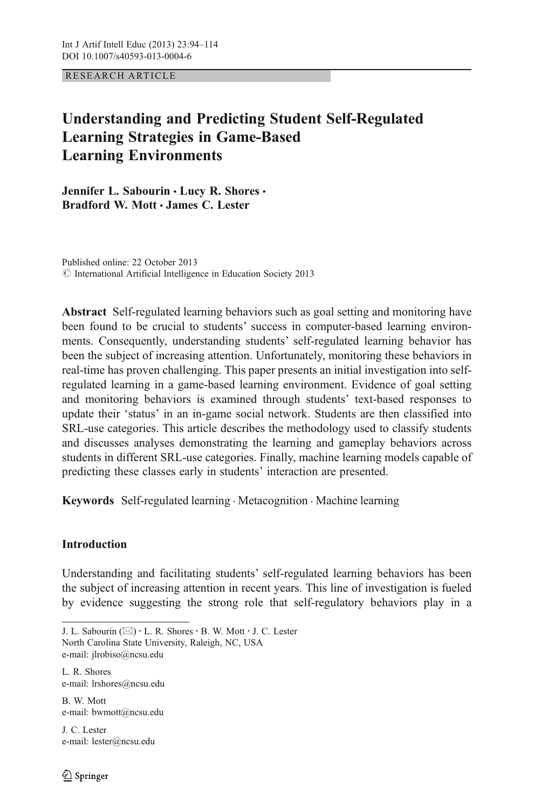RESEARCH ARTICLE

# Understanding and Predicting Student Self-Regulated Learning Strategies in Game-Based Learning Environments

Jennifer L. Sabourin · Lucy R. Shores · Bradford W. Mott · James C. Lester

Published online: 22 October 2013  $\circ$  International Artificial Intelligence in Education Society 2013

Abstract Self-regulated learning behaviors such as goal setting and monitoring have been found to be crucial to students' success in computer-based learning environments. Consequently, understanding students' self-regulated learning behavior has been the subject of increasing attention. Unfortunately, monitoring these behaviors in real-time has proven challenging. This paper presents an initial investigation into selfregulated learning in a game-based learning environment. Evidence of goal setting and monitoring behaviors is examined through students' text-based responses to update their 'status' in an in-game social network. Students are then classified into SRL-use categories. This article describes the methodology used to classify students and discusses analyses demonstrating the learning and gameplay behaviors across students in different SRL-use categories. Finally, machine learning models capable of predicting these classes early in students' interaction are presented.

Keywords Self-regulated learning . Metacognition . Machine learning

## Introduction

Understanding and facilitating students' self-regulated learning behaviors has been the subject of increasing attention in recent years. This line of investigation is fueled by evidence suggesting the strong role that self-regulatory behaviors play in a

L. R. Shores e-mail: lrshores@ncsu.edu

B. W. Mott e-mail: bwmott@ncsu.edu

J. C. Lester e-mail: lester@ncsu.edu

J. L. Sabourin  $(\boxtimes) \cdot$  L. R. Shores  $\cdot$  B. W. Mott  $\cdot$  J. C. Lester North Carolina State University, Raleigh, NC, USA e-mail: jlrobiso@ncsu.edu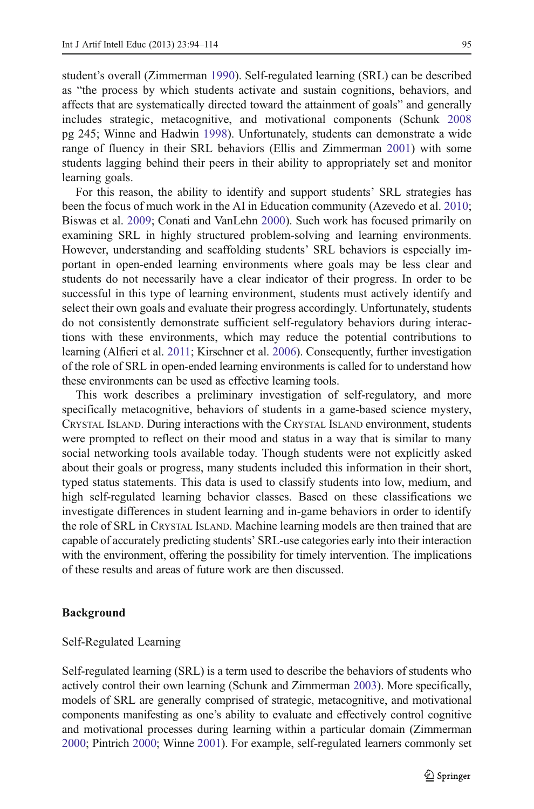student's overall (Zimmerman [1990](#page-20-0)). Self-regulated learning (SRL) can be described as "the process by which students activate and sustain cognitions, behaviors, and affects that are systematically directed toward the attainment of goals" and generally includes strategic, metacognitive, and motivational components (Schunk [2008](#page-19-0) pg 245; Winne and Hadwin [1998](#page-19-0)). Unfortunately, students can demonstrate a wide range of fluency in their SRL behaviors (Ellis and Zimmerman [2001](#page-18-0)) with some students lagging behind their peers in their ability to appropriately set and monitor learning goals.

For this reason, the ability to identify and support students' SRL strategies has been the focus of much work in the AI in Education community (Azevedo et al. [2010;](#page-17-0) Biswas et al. [2009;](#page-18-0) Conati and VanLehn [2000](#page-18-0)). Such work has focused primarily on examining SRL in highly structured problem-solving and learning environments. However, understanding and scaffolding students' SRL behaviors is especially important in open-ended learning environments where goals may be less clear and students do not necessarily have a clear indicator of their progress. In order to be successful in this type of learning environment, students must actively identify and select their own goals and evaluate their progress accordingly. Unfortunately, students do not consistently demonstrate sufficient self-regulatory behaviors during interactions with these environments, which may reduce the potential contributions to learning (Alfieri et al. [2011](#page-17-0); Kirschner et al. [2006\)](#page-18-0). Consequently, further investigation of the role of SRL in open-ended learning environments is called for to understand how these environments can be used as effective learning tools.

This work describes a preliminary investigation of self-regulatory, and more specifically metacognitive, behaviors of students in a game-based science mystery, CRYSTAL ISLAND. During interactions with the CRYSTAL ISLAND environment, students were prompted to reflect on their mood and status in a way that is similar to many social networking tools available today. Though students were not explicitly asked about their goals or progress, many students included this information in their short, typed status statements. This data is used to classify students into low, medium, and high self-regulated learning behavior classes. Based on these classifications we investigate differences in student learning and in-game behaviors in order to identify the role of SRL in CRYSTAL ISLAND. Machine learning models are then trained that are capable of accurately predicting students' SRL-use categories early into their interaction with the environment, offering the possibility for timely intervention. The implications of these results and areas of future work are then discussed.

#### Background

#### Self-Regulated Learning

Self-regulated learning (SRL) is a term used to describe the behaviors of students who actively control their own learning (Schunk and Zimmerman [2003](#page-19-0)). More specifically, models of SRL are generally comprised of strategic, metacognitive, and motivational components manifesting as one's ability to evaluate and effectively control cognitive and motivational processes during learning within a particular domain (Zimmerman [2000;](#page-20-0) Pintrich [2000;](#page-19-0) Winne [2001](#page-19-0)). For example, self-regulated learners commonly set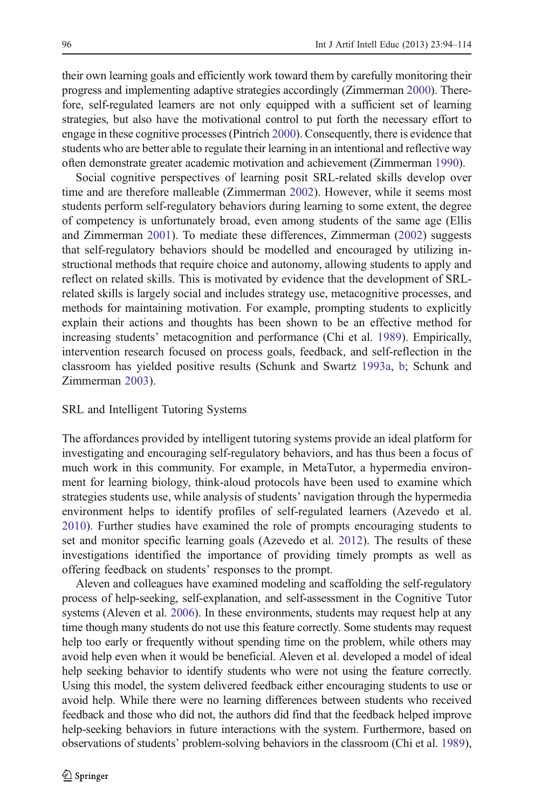their own learning goals and efficiently work toward them by carefully monitoring their progress and implementing adaptive strategies accordingly (Zimmerman [2000\)](#page-20-0). Therefore, self-regulated learners are not only equipped with a sufficient set of learning strategies, but also have the motivational control to put forth the necessary effort to engage in these cognitive processes (Pintrich [2000](#page-19-0)). Consequently, there is evidence that students who are better able to regulate their learning in an intentional and reflective way often demonstrate greater academic motivation and achievement (Zimmerman [1990\)](#page-20-0).

Social cognitive perspectives of learning posit SRL-related skills develop over time and are therefore malleable (Zimmerman [2002](#page-20-0)). However, while it seems most students perform self-regulatory behaviors during learning to some extent, the degree of competency is unfortunately broad, even among students of the same age (Ellis and Zimmerman [2001](#page-18-0)). To mediate these differences, Zimmerman ([2002\)](#page-20-0) suggests that self-regulatory behaviors should be modelled and encouraged by utilizing instructional methods that require choice and autonomy, allowing students to apply and reflect on related skills. This is motivated by evidence that the development of SRLrelated skills is largely social and includes strategy use, metacognitive processes, and methods for maintaining motivation. For example, prompting students to explicitly explain their actions and thoughts has been shown to be an effective method for increasing students' metacognition and performance (Chi et al. [1989\)](#page-18-0). Empirically, intervention research focused on process goals, feedback, and self-reflection in the classroom has yielded positive results (Schunk and Swartz [1993a,](#page-19-0) [b](#page-19-0); Schunk and Zimmerman [2003\)](#page-19-0).

#### SRL and Intelligent Tutoring Systems

The affordances provided by intelligent tutoring systems provide an ideal platform for investigating and encouraging self-regulatory behaviors, and has thus been a focus of much work in this community. For example, in MetaTutor, a hypermedia environment for learning biology, think-aloud protocols have been used to examine which strategies students use, while analysis of students' navigation through the hypermedia environment helps to identify profiles of self-regulated learners (Azevedo et al. [2010\)](#page-17-0). Further studies have examined the role of prompts encouraging students to set and monitor specific learning goals (Azevedo et al. [2012\)](#page-17-0). The results of these investigations identified the importance of providing timely prompts as well as offering feedback on students' responses to the prompt.

Aleven and colleagues have examined modeling and scaffolding the self-regulatory process of help-seeking, self-explanation, and self-assessment in the Cognitive Tutor systems (Aleven et al. [2006](#page-17-0)). In these environments, students may request help at any time though many students do not use this feature correctly. Some students may request help too early or frequently without spending time on the problem, while others may avoid help even when it would be beneficial. Aleven et al. developed a model of ideal help seeking behavior to identify students who were not using the feature correctly. Using this model, the system delivered feedback either encouraging students to use or avoid help. While there were no learning differences between students who received feedback and those who did not, the authors did find that the feedback helped improve help-seeking behaviors in future interactions with the system. Furthermore, based on observations of students' problem-solving behaviors in the classroom (Chi et al. [1989\)](#page-18-0),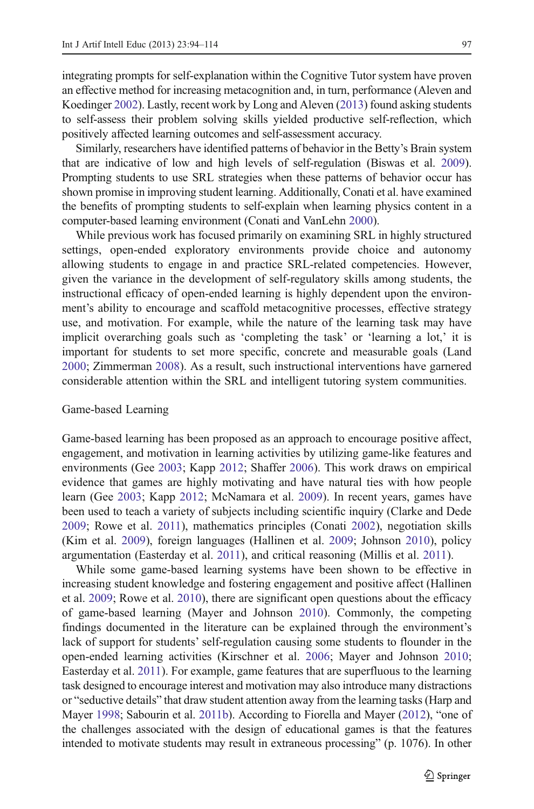integrating prompts for self-explanation within the Cognitive Tutor system have proven an effective method for increasing metacognition and, in turn, performance (Aleven and Koedinger [2002](#page-17-0)). Lastly, recent work by Long and Aleven ([2013](#page-18-0)) found asking students to self-assess their problem solving skills yielded productive self-reflection, which positively affected learning outcomes and self-assessment accuracy.

Similarly, researchers have identified patterns of behavior in the Betty's Brain system that are indicative of low and high levels of self-regulation (Biswas et al. [2009\)](#page-18-0). Prompting students to use SRL strategies when these patterns of behavior occur has shown promise in improving student learning. Additionally, Conati et al. have examined the benefits of prompting students to self-explain when learning physics content in a computer-based learning environment (Conati and VanLehn [2000\)](#page-18-0).

While previous work has focused primarily on examining SRL in highly structured settings, open-ended exploratory environments provide choice and autonomy allowing students to engage in and practice SRL-related competencies. However, given the variance in the development of self-regulatory skills among students, the instructional efficacy of open-ended learning is highly dependent upon the environment's ability to encourage and scaffold metacognitive processes, effective strategy use, and motivation. For example, while the nature of the learning task may have implicit overarching goals such as 'completing the task' or 'learning a lot,' it is important for students to set more specific, concrete and measurable goals (Land [2000;](#page-18-0) Zimmerman [2008](#page-20-0)). As a result, such instructional interventions have garnered considerable attention within the SRL and intelligent tutoring system communities.

#### Game-based Learning

Game-based learning has been proposed as an approach to encourage positive affect, engagement, and motivation in learning activities by utilizing game-like features and environments (Gee [2003](#page-18-0); Kapp [2012;](#page-18-0) Shaffer [2006](#page-19-0)). This work draws on empirical evidence that games are highly motivating and have natural ties with how people learn (Gee [2003;](#page-18-0) Kapp [2012;](#page-18-0) McNamara et al. [2009\)](#page-19-0). In recent years, games have been used to teach a variety of subjects including scientific inquiry (Clarke and Dede [2009;](#page-18-0) Rowe et al. [2011](#page-19-0)), mathematics principles (Conati [2002](#page-18-0)), negotiation skills (Kim et al. [2009](#page-18-0)), foreign languages (Hallinen et al. [2009;](#page-18-0) Johnson [2010\)](#page-18-0), policy argumentation (Easterday et al. [2011](#page-18-0)), and critical reasoning (Millis et al. [2011\)](#page-19-0).

While some game-based learning systems have been shown to be effective in increasing student knowledge and fostering engagement and positive affect (Hallinen et al. [2009;](#page-18-0) Rowe et al. [2010\)](#page-19-0), there are significant open questions about the efficacy of game-based learning (Mayer and Johnson [2010](#page-18-0)). Commonly, the competing findings documented in the literature can be explained through the environment's lack of support for students' self-regulation causing some students to flounder in the open-ended learning activities (Kirschner et al. [2006;](#page-18-0) Mayer and Johnson [2010;](#page-18-0) Easterday et al. [2011\)](#page-18-0). For example, game features that are superfluous to the learning task designed to encourage interest and motivation may also introduce many distractions or "seductive details" that draw student attention away from the learning tasks (Harp and Mayer [1998;](#page-18-0) Sabourin et al. [2011b\)](#page-19-0). According to Fiorella and Mayer [\(2012\)](#page-18-0), "one of the challenges associated with the design of educational games is that the features intended to motivate students may result in extraneous processing" (p. 1076). In other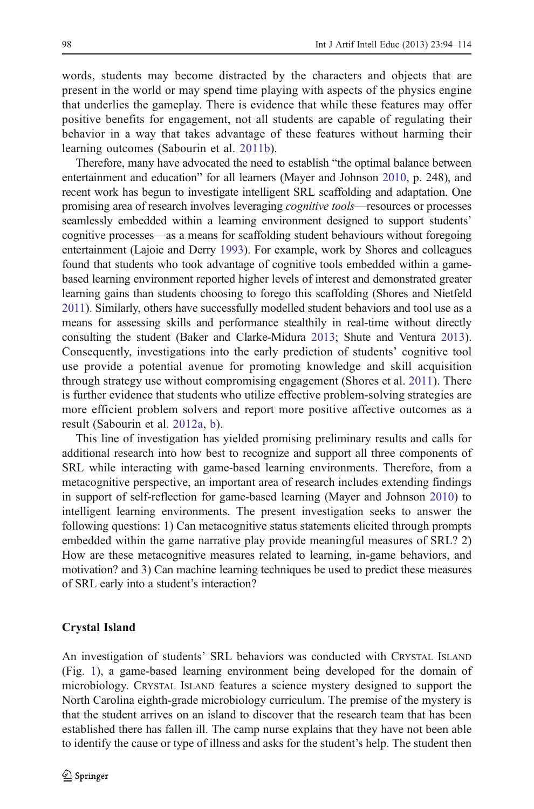words, students may become distracted by the characters and objects that are present in the world or may spend time playing with aspects of the physics engine that underlies the gameplay. There is evidence that while these features may offer positive benefits for engagement, not all students are capable of regulating their behavior in a way that takes advantage of these features without harming their learning outcomes (Sabourin et al. [2011b\)](#page-19-0).

Therefore, many have advocated the need to establish "the optimal balance between entertainment and education" for all learners (Mayer and Johnson [2010](#page-18-0), p. 248), and recent work has begun to investigate intelligent SRL scaffolding and adaptation. One promising area of research involves leveraging cognitive tools—resources or processes seamlessly embedded within a learning environment designed to support students' cognitive processes—as a means for scaffolding student behaviours without foregoing entertainment (Lajoie and Derry [1993\)](#page-18-0). For example, work by Shores and colleagues found that students who took advantage of cognitive tools embedded within a gamebased learning environment reported higher levels of interest and demonstrated greater learning gains than students choosing to forego this scaffolding (Shores and Nietfeld [2011](#page-19-0)). Similarly, others have successfully modelled student behaviors and tool use as a means for assessing skills and performance stealthily in real-time without directly consulting the student (Baker and Clarke-Midura [2013;](#page-18-0) Shute and Ventura [2013\)](#page-19-0). Consequently, investigations into the early prediction of students' cognitive tool use provide a potential avenue for promoting knowledge and skill acquisition through strategy use without compromising engagement (Shores et al. [2011\)](#page-19-0). There is further evidence that students who utilize effective problem-solving strategies are more efficient problem solvers and report more positive affective outcomes as a result (Sabourin et al. [2012a](#page-19-0), [b\)](#page-19-0).

This line of investigation has yielded promising preliminary results and calls for additional research into how best to recognize and support all three components of SRL while interacting with game-based learning environments. Therefore, from a metacognitive perspective, an important area of research includes extending findings in support of self-reflection for game-based learning (Mayer and Johnson [2010\)](#page-18-0) to intelligent learning environments. The present investigation seeks to answer the following questions: 1) Can metacognitive status statements elicited through prompts embedded within the game narrative play provide meaningful measures of SRL? 2) How are these metacognitive measures related to learning, in-game behaviors, and motivation? and 3) Can machine learning techniques be used to predict these measures of SRL early into a student's interaction?

#### Crystal Island

An investigation of students' SRL behaviors was conducted with CRYSTAL ISLAND (Fig. [1](#page-5-0)), a game-based learning environment being developed for the domain of microbiology. CRYSTAL ISLAND features a science mystery designed to support the North Carolina eighth-grade microbiology curriculum. The premise of the mystery is that the student arrives on an island to discover that the research team that has been established there has fallen ill. The camp nurse explains that they have not been able to identify the cause or type of illness and asks for the student's help. The student then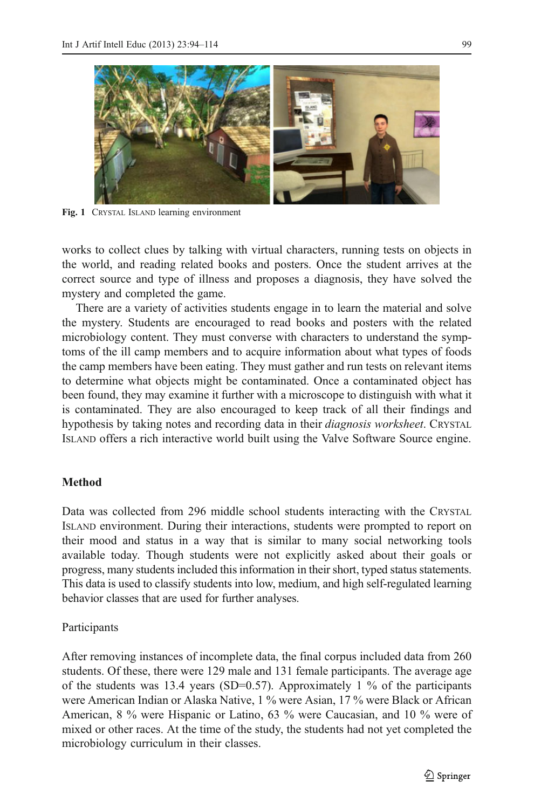<span id="page-5-0"></span>

Fig. 1 CRYSTAL ISLAND learning environment

works to collect clues by talking with virtual characters, running tests on objects in the world, and reading related books and posters. Once the student arrives at the correct source and type of illness and proposes a diagnosis, they have solved the mystery and completed the game.

There are a variety of activities students engage in to learn the material and solve the mystery. Students are encouraged to read books and posters with the related microbiology content. They must converse with characters to understand the symptoms of the ill camp members and to acquire information about what types of foods the camp members have been eating. They must gather and run tests on relevant items to determine what objects might be contaminated. Once a contaminated object has been found, they may examine it further with a microscope to distinguish with what it is contaminated. They are also encouraged to keep track of all their findings and hypothesis by taking notes and recording data in their diagnosis worksheet. CRYSTAL ISLAND offers a rich interactive world built using the Valve Software Source engine.

## Method

Data was collected from 296 middle school students interacting with the CRYSTAL ISLAND environment. During their interactions, students were prompted to report on their mood and status in a way that is similar to many social networking tools available today. Though students were not explicitly asked about their goals or progress, many students included this information in their short, typed status statements. This data is used to classify students into low, medium, and high self-regulated learning behavior classes that are used for further analyses.

#### Participants

After removing instances of incomplete data, the final corpus included data from 260 students. Of these, there were 129 male and 131 female participants. The average age of the students was 13.4 years (SD=0.57). Approximately 1  $%$  of the participants were American Indian or Alaska Native, 1 % were Asian, 17 % were Black or African American, 8 % were Hispanic or Latino, 63 % were Caucasian, and 10 % were of mixed or other races. At the time of the study, the students had not yet completed the microbiology curriculum in their classes.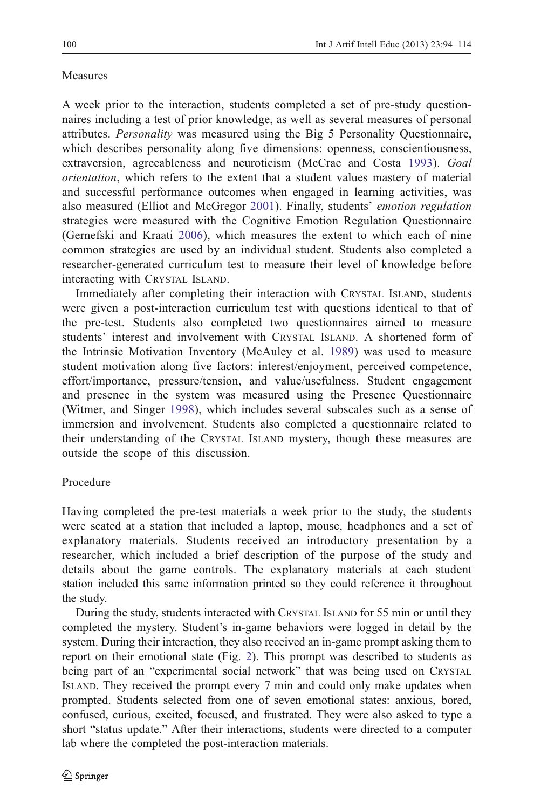## Measures

A week prior to the interaction, students completed a set of pre-study questionnaires including a test of prior knowledge, as well as several measures of personal attributes. Personality was measured using the Big 5 Personality Questionnaire, which describes personality along five dimensions: openness, conscientiousness, extraversion, agreeableness and neuroticism (McCrae and Costa [1993](#page-19-0)). Goal orientation, which refers to the extent that a student values mastery of material and successful performance outcomes when engaged in learning activities, was also measured (Elliot and McGregor [2001](#page-18-0)). Finally, students' emotion regulation strategies were measured with the Cognitive Emotion Regulation Questionnaire (Gernefski and Kraati [2006](#page-18-0)), which measures the extent to which each of nine common strategies are used by an individual student. Students also completed a researcher-generated curriculum test to measure their level of knowledge before interacting with CRYSTAL ISLAND.

Immediately after completing their interaction with CRYSTAL ISLAND, students were given a post-interaction curriculum test with questions identical to that of the pre-test. Students also completed two questionnaires aimed to measure students' interest and involvement with CRYSTAL ISLAND. A shortened form of the Intrinsic Motivation Inventory (McAuley et al. [1989\)](#page-19-0) was used to measure student motivation along five factors: interest/enjoyment, perceived competence, effort/importance, pressure/tension, and value/usefulness. Student engagement and presence in the system was measured using the Presence Questionnaire (Witmer, and Singer [1998](#page-19-0)), which includes several subscales such as a sense of immersion and involvement. Students also completed a questionnaire related to their understanding of the CRYSTAL ISLAND mystery, though these measures are outside the scope of this discussion.

## Procedure

Having completed the pre-test materials a week prior to the study, the students were seated at a station that included a laptop, mouse, headphones and a set of explanatory materials. Students received an introductory presentation by a researcher, which included a brief description of the purpose of the study and details about the game controls. The explanatory materials at each student station included this same information printed so they could reference it throughout the study.

During the study, students interacted with CRYSTAL ISLAND for 55 min or until they completed the mystery. Student's in-game behaviors were logged in detail by the system. During their interaction, they also received an in-game prompt asking them to report on their emotional state (Fig. [2](#page-7-0)). This prompt was described to students as being part of an "experimental social network" that was being used on CRYSTAL ISLAND. They received the prompt every 7 min and could only make updates when prompted. Students selected from one of seven emotional states: anxious, bored, confused, curious, excited, focused, and frustrated. They were also asked to type a short "status update." After their interactions, students were directed to a computer lab where the completed the post-interaction materials.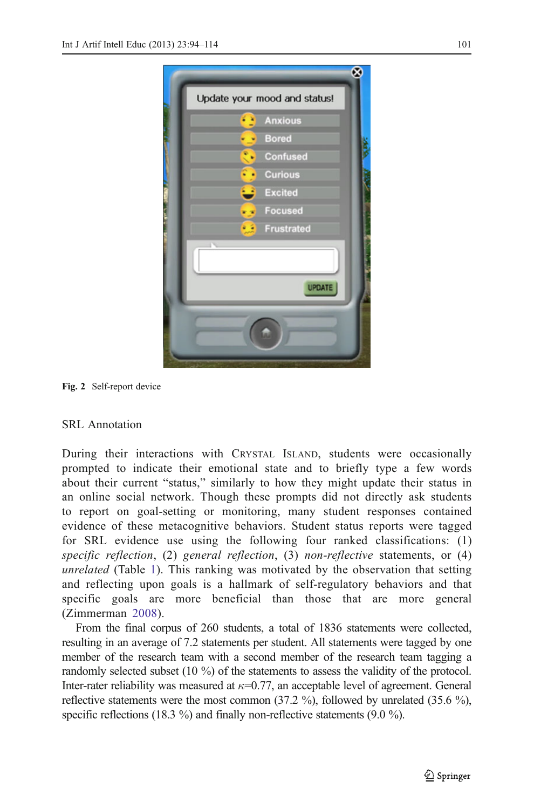<span id="page-7-0"></span>

Fig. 2 Self-report device

### SRL Annotation

During their interactions with CRYSTAL ISLAND, students were occasionally prompted to indicate their emotional state and to briefly type a few words about their current "status," similarly to how they might update their status in an online social network. Though these prompts did not directly ask students to report on goal-setting or monitoring, many student responses contained evidence of these metacognitive behaviors. Student status reports were tagged for SRL evidence use using the following four ranked classifications: (1) specific reflection, (2) general reflection, (3) non-reflective statements, or (4) unrelated (Table [1\)](#page-8-0). This ranking was motivated by the observation that setting and reflecting upon goals is a hallmark of self-regulatory behaviors and that specific goals are more beneficial than those that are more general (Zimmerman [2008\)](#page-20-0).

From the final corpus of 260 students, a total of 1836 statements were collected, resulting in an average of 7.2 statements per student. All statements were tagged by one member of the research team with a second member of the research team tagging a randomly selected subset (10 %) of the statements to assess the validity of the protocol. Inter-rater reliability was measured at  $\kappa$ =0.77, an acceptable level of agreement. General reflective statements were the most common  $(37.2 \%)$ , followed by unrelated  $(35.6 \%)$ , specific reflections (18.3 %) and finally non-reflective statements (9.0 %).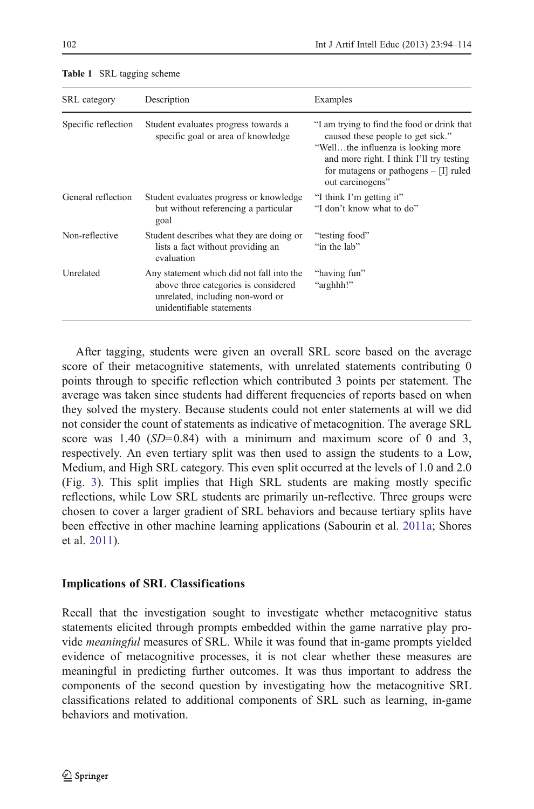| <b>SRL</b> category | Description                                                                                                           | Examples<br>"I am trying to find the food or drink that<br>caused these people to get sick."<br>"Wellthe influenza is looking more"<br>and more right. I think I'll try testing<br>for mutagens or pathogens $-$ [I] ruled<br>out carcinogens" |  |  |
|---------------------|-----------------------------------------------------------------------------------------------------------------------|------------------------------------------------------------------------------------------------------------------------------------------------------------------------------------------------------------------------------------------------|--|--|
| Specific reflection | Student evaluates progress towards a<br>specific goal or area of knowledge                                            |                                                                                                                                                                                                                                                |  |  |
| General reflection  | Student evaluates progress or knowledge<br>but without referencing a particular<br>goal                               | "I think I'm getting it"<br>"I don't know what to do"                                                                                                                                                                                          |  |  |
| Non-reflective      | Student describes what they are doing or<br>lists a fact without providing an<br>evaluation                           | "testing food"<br>"in the lab"                                                                                                                                                                                                                 |  |  |
| Unrelated           | Any statement which did not fall into the<br>above three categories is considered<br>unrelated, including non-word or | "having fun"<br>"arghhh!"                                                                                                                                                                                                                      |  |  |

unidentifiable statements

<span id="page-8-0"></span>Table 1 SRL tagging scheme

After tagging, students were given an overall SRL score based on the average score of their metacognitive statements, with unrelated statements contributing 0 points through to specific reflection which contributed 3 points per statement. The average was taken since students had different frequencies of reports based on when they solved the mystery. Because students could not enter statements at will we did not consider the count of statements as indicative of metacognition. The average SRL score was 1.40  $(SD=0.84)$  with a minimum and maximum score of 0 and 3, respectively. An even tertiary split was then used to assign the students to a Low, Medium, and High SRL category. This even split occurred at the levels of 1.0 and 2.0 (Fig. [3\)](#page-9-0). This split implies that High SRL students are making mostly specific reflections, while Low SRL students are primarily un-reflective. Three groups were chosen to cover a larger gradient of SRL behaviors and because tertiary splits have been effective in other machine learning applications (Sabourin et al. [2011a;](#page-19-0) Shores et al. [2011](#page-19-0)).

## Implications of SRL Classifications

Recall that the investigation sought to investigate whether metacognitive status statements elicited through prompts embedded within the game narrative play provide meaningful measures of SRL. While it was found that in-game prompts yielded evidence of metacognitive processes, it is not clear whether these measures are meaningful in predicting further outcomes. It was thus important to address the components of the second question by investigating how the metacognitive SRL classifications related to additional components of SRL such as learning, in-game behaviors and motivation.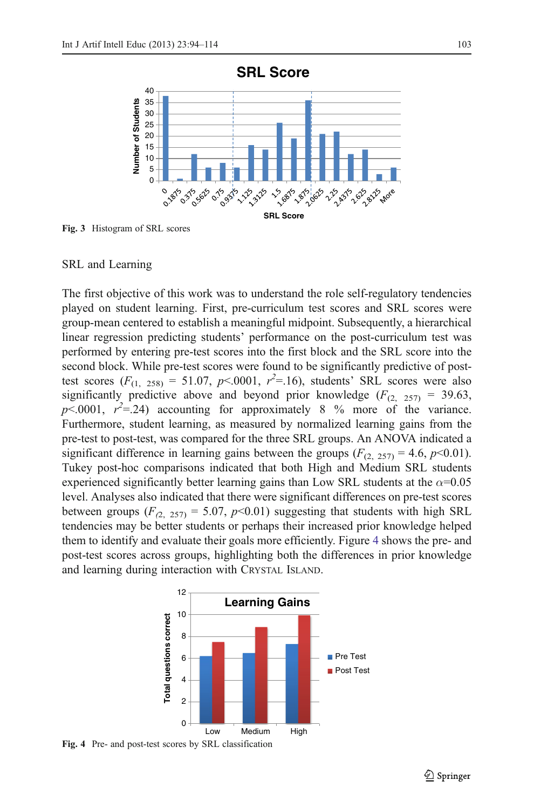<span id="page-9-0"></span>

Fig. 3 Histogram of SRL scores

#### SRL and Learning

The first objective of this work was to understand the role self-regulatory tendencies played on student learning. First, pre-curriculum test scores and SRL scores were group-mean centered to establish a meaningful midpoint. Subsequently, a hierarchical linear regression predicting students' performance on the post-curriculum test was performed by entering pre-test scores into the first block and the SRL score into the second block. While pre-test scores were found to be significantly predictive of posttest scores  $(F_{(1, 258)} = 51.07, p<0.001, r^2=16)$ , students' SRL scores were also significantly predictive above and beyond prior knowledge  $(F_{(2, 257)} = 39.63)$ ,  $p$ <.0001,  $r^2$ =.24) accounting for approximately 8 % more of the variance. Furthermore, student learning, as measured by normalized learning gains from the pre-test to post-test, was compared for the three SRL groups. An ANOVA indicated a significant difference in learning gains between the groups  $(F_{(2, 257)} = 4.6, p<0.01)$ . Tukey post-hoc comparisons indicated that both High and Medium SRL students experienced significantly better learning gains than Low SRL students at the  $\alpha$ =0.05 level. Analyses also indicated that there were significant differences on pre-test scores between groups  $(F_{(2, 257)} = 5.07, p<0.01)$  suggesting that students with high SRL tendencies may be better students or perhaps their increased prior knowledge helped them to identify and evaluate their goals more efficiently. Figure 4 shows the pre- and post-test scores across groups, highlighting both the differences in prior knowledge and learning during interaction with CRYSTAL ISLAND.



Fig. 4 Pre- and post-test scores by SRL classification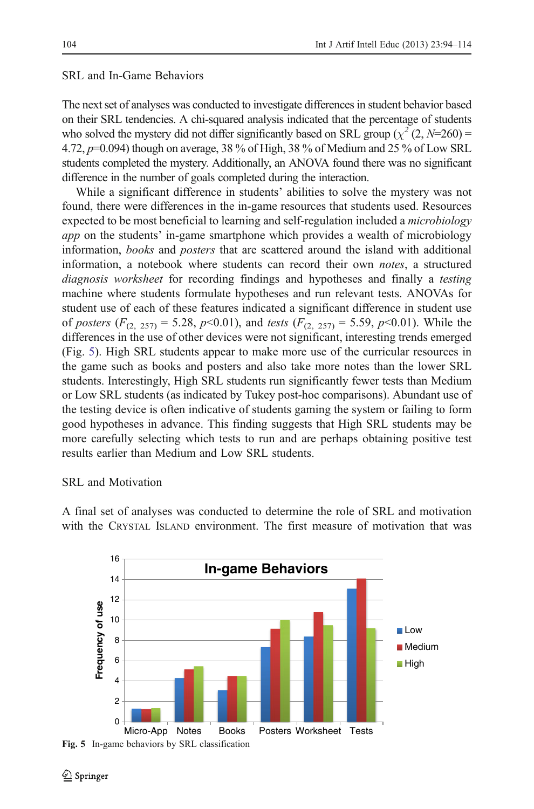## SRL and In-Game Behaviors

The next set of analyses was conducted to investigate differences in student behavior based on their SRL tendencies. A chi-squared analysis indicated that the percentage of students who solved the mystery did not differ significantly based on SRL group ( $\chi^2$  (2, N=260) = 4.72,  $p=0.094$ ) though on average, 38 % of High, 38 % of Medium and 25 % of Low SRL students completed the mystery. Additionally, an ANOVA found there was no significant difference in the number of goals completed during the interaction.

While a significant difference in students' abilities to solve the mystery was not found, there were differences in the in-game resources that students used. Resources expected to be most beneficial to learning and self-regulation included a *microbiology* app on the students' in-game smartphone which provides a wealth of microbiology information, books and posters that are scattered around the island with additional information, a notebook where students can record their own notes, a structured diagnosis worksheet for recording findings and hypotheses and finally a testing machine where students formulate hypotheses and run relevant tests. ANOVAs for student use of each of these features indicated a significant difference in student use of posters  $(F_{(2, 257)} = 5.28, p<0.01)$ , and tests  $(F_{(2, 257)} = 5.59, p<0.01)$ . While the differences in the use of other devices were not significant, interesting trends emerged (Fig. 5). High SRL students appear to make more use of the curricular resources in the game such as books and posters and also take more notes than the lower SRL students. Interestingly, High SRL students run significantly fewer tests than Medium or Low SRL students (as indicated by Tukey post-hoc comparisons). Abundant use of the testing device is often indicative of students gaming the system or failing to form good hypotheses in advance. This finding suggests that High SRL students may be more carefully selecting which tests to run and are perhaps obtaining positive test results earlier than Medium and Low SRL students.

## SRL and Motivation

A final set of analyses was conducted to determine the role of SRL and motivation with the CRYSTAL ISLAND environment. The first measure of motivation that was



Fig. 5 In-game behaviors by SRL classification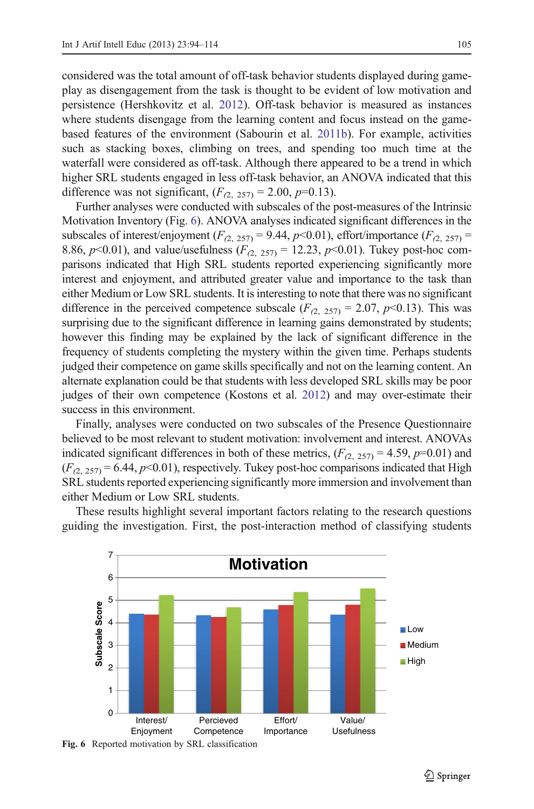considered was the total amount of off-task behavior students displayed during gameplay as disengagement from the task is thought to be evident of low motivation and persistence (Hershkovitz et al. [2012](#page-18-0)). Off-task behavior is measured as instances where students disengage from the learning content and focus instead on the gamebased features of the environment (Sabourin et al. [2011b\)](#page-19-0). For example, activities such as stacking boxes, climbing on trees, and spending too much time at the waterfall were considered as off-task. Although there appeared to be a trend in which higher SRL students engaged in less off-task behavior, an ANOVA indicated that this difference was not significant,  $(F<sub>Q</sub>, 257) = 2.00, p=0.13$ .

Further analyses were conducted with subscales of the post-measures of the Intrinsic Motivation Inventory (Fig. 6). ANOVA analyses indicated significant differences in the subscales of interest/enjoyment  $(F_{(2, 257)} = 9.44, p<0.01)$ , effort/importance  $(F_{(2, 257)} =$ 8.86,  $p<0.01$ ), and value/usefulness  $(F_{(2, 257)} = 12.23, p<0.01)$ . Tukey post-hoc comparisons indicated that High SRL students reported experiencing significantly more interest and enjoyment, and attributed greater value and importance to the task than either Medium or Low SRL students. It is interesting to note that there was no significant difference in the perceived competence subscale  $(F_{(2, 257)} = 2.07, p<0.13)$ . This was surprising due to the significant difference in learning gains demonstrated by students; however this finding may be explained by the lack of significant difference in the frequency of students completing the mystery within the given time. Perhaps students judged their competence on game skills specifically and not on the learning content. An alternate explanation could be that students with less developed SRL skills may be poor judges of their own competence (Kostons et al. [2012](#page-18-0)) and may over-estimate their success in this environment.

Finally, analyses were conducted on two subscales of the Presence Questionnaire believed to be most relevant to student motivation: involvement and interest. ANOVAs indicated significant differences in both of these metrics,  $(F_{(2, 257)} = 4.59, p=0.01)$  and  $(F_{(2, 257)} = 6.44, p<0.01)$ , respectively. Tukey post-hoc comparisons indicated that High SRL students reported experiencing significantly more immersion and involvement than either Medium or Low SRL students.

These results highlight several important factors relating to the research questions guiding the investigation. First, the post-interaction method of classifying students



Fig. 6 Reported motivation by SRL classification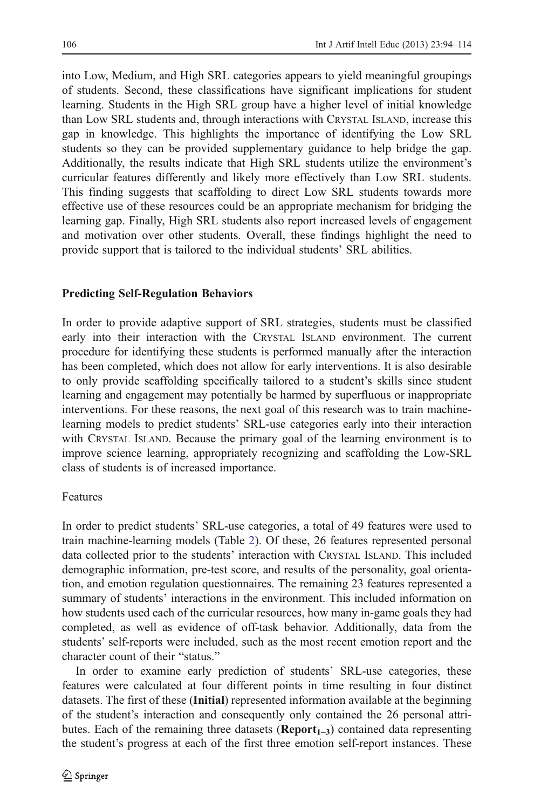into Low, Medium, and High SRL categories appears to yield meaningful groupings of students. Second, these classifications have significant implications for student learning. Students in the High SRL group have a higher level of initial knowledge than Low SRL students and, through interactions with CRYSTAL ISLAND, increase this gap in knowledge. This highlights the importance of identifying the Low SRL students so they can be provided supplementary guidance to help bridge the gap. Additionally, the results indicate that High SRL students utilize the environment's curricular features differently and likely more effectively than Low SRL students. This finding suggests that scaffolding to direct Low SRL students towards more effective use of these resources could be an appropriate mechanism for bridging the learning gap. Finally, High SRL students also report increased levels of engagement and motivation over other students. Overall, these findings highlight the need to provide support that is tailored to the individual students' SRL abilities.

## Predicting Self-Regulation Behaviors

In order to provide adaptive support of SRL strategies, students must be classified early into their interaction with the CRYSTAL ISLAND environment. The current procedure for identifying these students is performed manually after the interaction has been completed, which does not allow for early interventions. It is also desirable to only provide scaffolding specifically tailored to a student's skills since student learning and engagement may potentially be harmed by superfluous or inappropriate interventions. For these reasons, the next goal of this research was to train machinelearning models to predict students' SRL-use categories early into their interaction with CRYSTAL ISLAND. Because the primary goal of the learning environment is to improve science learning, appropriately recognizing and scaffolding the Low-SRL class of students is of increased importance.

## Features

In order to predict students' SRL-use categories, a total of 49 features were used to train machine-learning models (Table [2\)](#page-13-0). Of these, 26 features represented personal data collected prior to the students' interaction with CRYSTAL ISLAND. This included demographic information, pre-test score, and results of the personality, goal orientation, and emotion regulation questionnaires. The remaining 23 features represented a summary of students' interactions in the environment. This included information on how students used each of the curricular resources, how many in-game goals they had completed, as well as evidence of off-task behavior. Additionally, data from the students' self-reports were included, such as the most recent emotion report and the character count of their "status."

In order to examine early prediction of students' SRL-use categories, these features were calculated at four different points in time resulting in four distinct datasets. The first of these (Initial) represented information available at the beginning of the student's interaction and consequently only contained the 26 personal attributes. Each of the remaining three datasets ( $\mathbf{Report}_{1-3}$ ) contained data representing the student's progress at each of the first three emotion self-report instances. These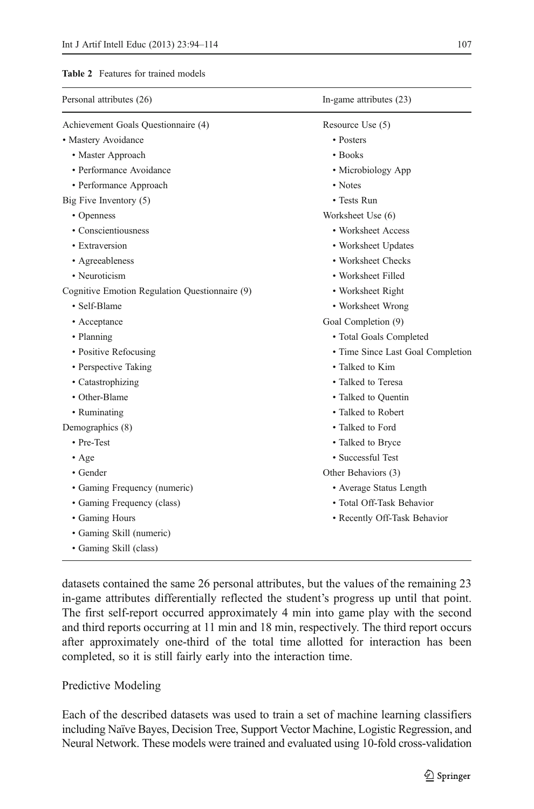<span id="page-13-0"></span>

| Personal attributes (26)                       | In-game attributes (23)           |  |  |  |
|------------------------------------------------|-----------------------------------|--|--|--|
| Achievement Goals Questionnaire (4)            | Resource Use (5)                  |  |  |  |
| • Mastery Avoidance                            | • Posters                         |  |  |  |
| • Master Approach                              | $\cdot$ Books                     |  |  |  |
| • Performance Avoidance                        | • Microbiology App                |  |  |  |
| • Performance Approach                         | • Notes                           |  |  |  |
| Big Five Inventory (5)                         | • Tests Run                       |  |  |  |
| • Openness                                     | Worksheet Use (6)                 |  |  |  |
| • Conscientiousness                            | • Worksheet Access                |  |  |  |
| • Extraversion                                 | • Worksheet Updates               |  |  |  |
| • Agreeableness                                | • Worksheet Checks                |  |  |  |
| • Neuroticism                                  | • Worksheet Filled                |  |  |  |
| Cognitive Emotion Regulation Questionnaire (9) | • Worksheet Right                 |  |  |  |
| • Self-Blame                                   | • Worksheet Wrong                 |  |  |  |
| • Acceptance                                   | Goal Completion (9)               |  |  |  |
| • Planning                                     | • Total Goals Completed           |  |  |  |
| • Positive Refocusing                          | • Time Since Last Goal Completion |  |  |  |
| • Perspective Taking                           | • Talked to Kim                   |  |  |  |
| • Catastrophizing                              | • Talked to Teresa                |  |  |  |
| • Other-Blame                                  | • Talked to Ouentin               |  |  |  |
| • Ruminating                                   | • Talked to Robert                |  |  |  |
| Demographics (8)                               | • Talked to Ford                  |  |  |  |
| • Pre-Test                                     | • Talked to Bryce                 |  |  |  |
| $\bullet$ Age                                  | • Successful Test                 |  |  |  |
| • Gender                                       | Other Behaviors (3)               |  |  |  |
| • Gaming Frequency (numeric)                   | • Average Status Length           |  |  |  |
| • Gaming Frequency (class)                     | · Total Off-Task Behavior         |  |  |  |
| • Gaming Hours                                 | • Recently Off-Task Behavior      |  |  |  |
| • Gaming Skill (numeric)                       |                                   |  |  |  |
| • Gaming Skill (class)                         |                                   |  |  |  |

datasets contained the same 26 personal attributes, but the values of the remaining 23 in-game attributes differentially reflected the student's progress up until that point. The first self-report occurred approximately 4 min into game play with the second and third reports occurring at 11 min and 18 min, respectively. The third report occurs after approximately one-third of the total time allotted for interaction has been completed, so it is still fairly early into the interaction time.

## Predictive Modeling

Each of the described datasets was used to train a set of machine learning classifiers including Naïve Bayes, Decision Tree, Support Vector Machine, Logistic Regression, and Neural Network. These models were trained and evaluated using 10-fold cross-validation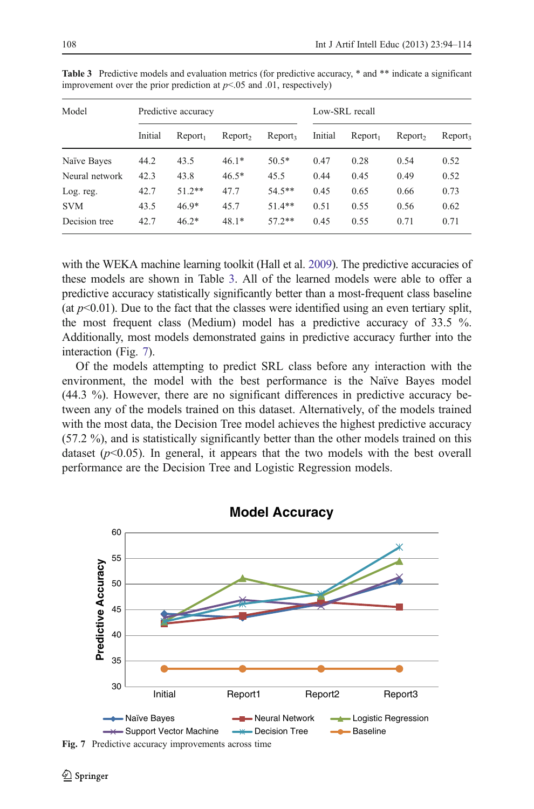| Model          | Predictive accuracy |                     |                     | Low-SRL recall      |         |            |                     |                     |
|----------------|---------------------|---------------------|---------------------|---------------------|---------|------------|---------------------|---------------------|
|                | Initial             | Report <sub>1</sub> | Report <sub>2</sub> | Report <sub>3</sub> | Initial | $Report_1$ | Report <sub>2</sub> | Report <sub>3</sub> |
| Naïve Bayes    | 44.2                | 43.5                | $46.1*$             | $50.5*$             | 0.47    | 0.28       | 0.54                | 0.52                |
| Neural network | 42.3                | 43.8                | $46.5*$             | 45.5                | 0.44    | 0.45       | 0.49                | 0.52                |
| Log. reg.      | 42.7                | $51.2**$            | 47.7                | $54.5**$            | 0.45    | 0.65       | 0.66                | 0.73                |
| <b>SVM</b>     | 43.5                | $46.9*$             | 45.7                | $51.4**$            | 0.51    | 0.55       | 0.56                | 0.62                |
| Decision tree  | 42.7                | $46.2*$             | $48.1*$             | $57.2**$            | 0.45    | 0.55       | 0.71                | 0.71                |

Table 3 Predictive models and evaluation metrics (for predictive accuracy, \* and \*\* indicate a significant improvement over the prior prediction at  $p$ <.05 and .01, respectively)

with the WEKA machine learning toolkit (Hall et al. [2009](#page-18-0)). The predictive accuracies of these models are shown in Table 3. All of the learned models were able to offer a predictive accuracy statistically significantly better than a most-frequent class baseline (at  $p<0.01$ ). Due to the fact that the classes were identified using an even tertiary split, the most frequent class (Medium) model has a predictive accuracy of 33.5 %. Additionally, most models demonstrated gains in predictive accuracy further into the interaction (Fig. 7).

Of the models attempting to predict SRL class before any interaction with the environment, the model with the best performance is the Naïve Bayes model (44.3 %). However, there are no significant differences in predictive accuracy between any of the models trained on this dataset. Alternatively, of the models trained with the most data, the Decision Tree model achieves the highest predictive accuracy (57.2 %), and is statistically significantly better than the other models trained on this dataset  $(p<0.05)$ . In general, it appears that the two models with the best overall performance are the Decision Tree and Logistic Regression models.



Fig. 7 Predictive accuracy improvements across time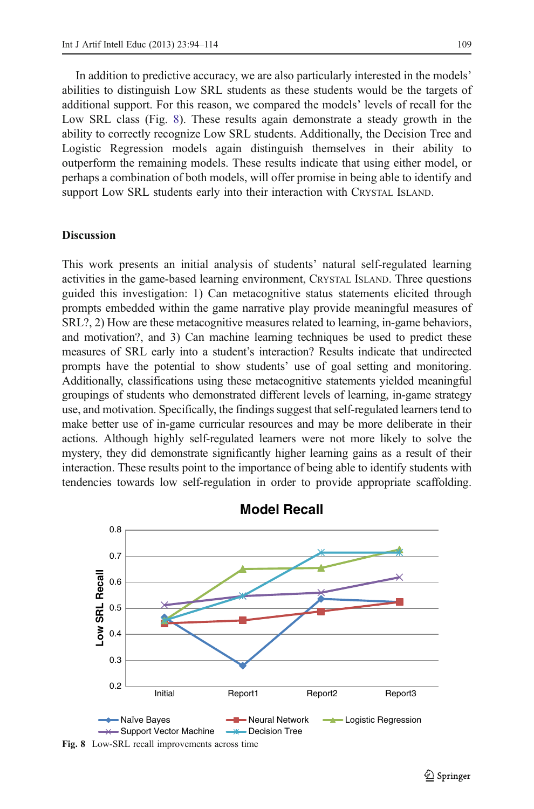In addition to predictive accuracy, we are also particularly interested in the models' abilities to distinguish Low SRL students as these students would be the targets of additional support. For this reason, we compared the models' levels of recall for the Low SRL class (Fig. 8). These results again demonstrate a steady growth in the ability to correctly recognize Low SRL students. Additionally, the Decision Tree and Logistic Regression models again distinguish themselves in their ability to outperform the remaining models. These results indicate that using either model, or perhaps a combination of both models, will offer promise in being able to identify and support Low SRL students early into their interaction with CRYSTAL ISLAND.

#### **Discussion**

This work presents an initial analysis of students' natural self-regulated learning activities in the game-based learning environment, CRYSTAL ISLAND. Three questions guided this investigation: 1) Can metacognitive status statements elicited through prompts embedded within the game narrative play provide meaningful measures of SRL?, 2) How are these metacognitive measures related to learning, in-game behaviors, and motivation?, and 3) Can machine learning techniques be used to predict these measures of SRL early into a student's interaction? Results indicate that undirected prompts have the potential to show students' use of goal setting and monitoring. Additionally, classifications using these metacognitive statements yielded meaningful groupings of students who demonstrated different levels of learning, in-game strategy use, and motivation. Specifically, the findings suggest that self-regulated learners tend to make better use of in-game curricular resources and may be more deliberate in their actions. Although highly self-regulated learners were not more likely to solve the mystery, they did demonstrate significantly higher learning gains as a result of their interaction. These results point to the importance of being able to identify students with tendencies towards low self-regulation in order to provide appropriate scaffolding.



**Model Recall**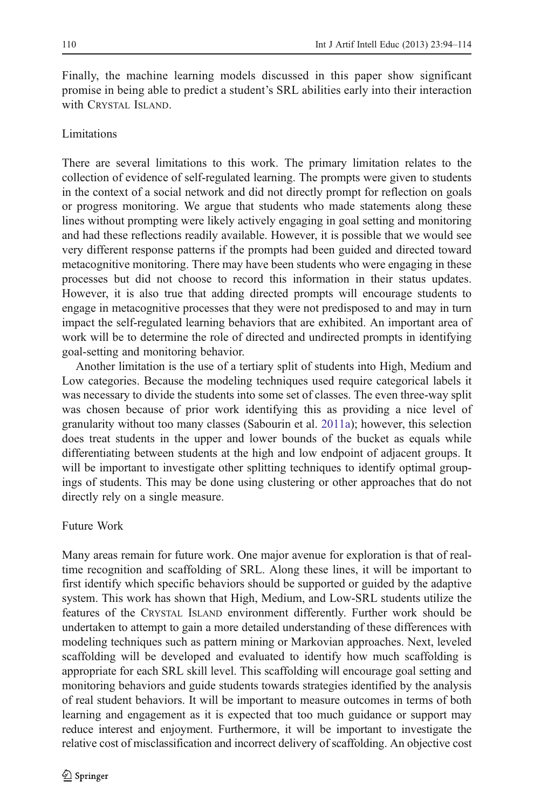Finally, the machine learning models discussed in this paper show significant promise in being able to predict a student's SRL abilities early into their interaction with CRYSTAL ISLAND.

## Limitations

There are several limitations to this work. The primary limitation relates to the collection of evidence of self-regulated learning. The prompts were given to students in the context of a social network and did not directly prompt for reflection on goals or progress monitoring. We argue that students who made statements along these lines without prompting were likely actively engaging in goal setting and monitoring and had these reflections readily available. However, it is possible that we would see very different response patterns if the prompts had been guided and directed toward metacognitive monitoring. There may have been students who were engaging in these processes but did not choose to record this information in their status updates. However, it is also true that adding directed prompts will encourage students to engage in metacognitive processes that they were not predisposed to and may in turn impact the self-regulated learning behaviors that are exhibited. An important area of work will be to determine the role of directed and undirected prompts in identifying goal-setting and monitoring behavior.

Another limitation is the use of a tertiary split of students into High, Medium and Low categories. Because the modeling techniques used require categorical labels it was necessary to divide the students into some set of classes. The even three-way split was chosen because of prior work identifying this as providing a nice level of granularity without too many classes (Sabourin et al. [2011a\)](#page-19-0); however, this selection does treat students in the upper and lower bounds of the bucket as equals while differentiating between students at the high and low endpoint of adjacent groups. It will be important to investigate other splitting techniques to identify optimal groupings of students. This may be done using clustering or other approaches that do not directly rely on a single measure.

## Future Work

Many areas remain for future work. One major avenue for exploration is that of realtime recognition and scaffolding of SRL. Along these lines, it will be important to first identify which specific behaviors should be supported or guided by the adaptive system. This work has shown that High, Medium, and Low-SRL students utilize the features of the CRYSTAL ISLAND environment differently. Further work should be undertaken to attempt to gain a more detailed understanding of these differences with modeling techniques such as pattern mining or Markovian approaches. Next, leveled scaffolding will be developed and evaluated to identify how much scaffolding is appropriate for each SRL skill level. This scaffolding will encourage goal setting and monitoring behaviors and guide students towards strategies identified by the analysis of real student behaviors. It will be important to measure outcomes in terms of both learning and engagement as it is expected that too much guidance or support may reduce interest and enjoyment. Furthermore, it will be important to investigate the relative cost of misclassification and incorrect delivery of scaffolding. An objective cost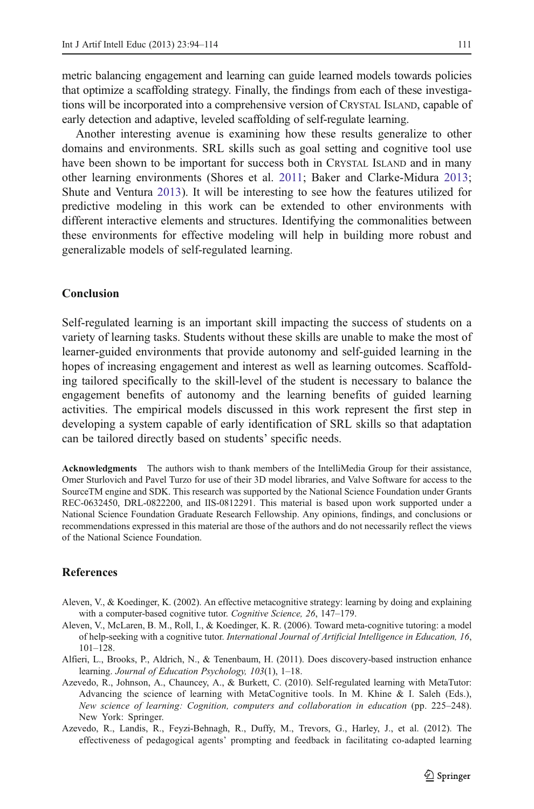<span id="page-17-0"></span>metric balancing engagement and learning can guide learned models towards policies that optimize a scaffolding strategy. Finally, the findings from each of these investigations will be incorporated into a comprehensive version of CRYSTAL ISLAND, capable of early detection and adaptive, leveled scaffolding of self-regulate learning.

Another interesting avenue is examining how these results generalize to other domains and environments. SRL skills such as goal setting and cognitive tool use have been shown to be important for success both in CRYSTAL ISLAND and in many other learning environments (Shores et al. [2011](#page-19-0); Baker and Clarke-Midura [2013;](#page-18-0) Shute and Ventura [2013](#page-19-0)). It will be interesting to see how the features utilized for predictive modeling in this work can be extended to other environments with different interactive elements and structures. Identifying the commonalities between these environments for effective modeling will help in building more robust and generalizable models of self-regulated learning.

#### Conclusion

Self-regulated learning is an important skill impacting the success of students on a variety of learning tasks. Students without these skills are unable to make the most of learner-guided environments that provide autonomy and self-guided learning in the hopes of increasing engagement and interest as well as learning outcomes. Scaffolding tailored specifically to the skill-level of the student is necessary to balance the engagement benefits of autonomy and the learning benefits of guided learning activities. The empirical models discussed in this work represent the first step in developing a system capable of early identification of SRL skills so that adaptation can be tailored directly based on students' specific needs.

Acknowledgments The authors wish to thank members of the IntelliMedia Group for their assistance, Omer Sturlovich and Pavel Turzo for use of their 3D model libraries, and Valve Software for access to the SourceTM engine and SDK. This research was supported by the National Science Foundation under Grants REC-0632450, DRL-0822200, and IIS-0812291. This material is based upon work supported under a National Science Foundation Graduate Research Fellowship. Any opinions, findings, and conclusions or recommendations expressed in this material are those of the authors and do not necessarily reflect the views of the National Science Foundation.

#### **References**

- Aleven, V., & Koedinger, K. (2002). An effective metacognitive strategy: learning by doing and explaining with a computer-based cognitive tutor. Cognitive Science, 26, 147–179.
- Aleven, V., McLaren, B. M., Roll, I., & Koedinger, K. R. (2006). Toward meta-cognitive tutoring: a model of help-seeking with a cognitive tutor. International Journal of Artificial Intelligence in Education, 16, 101–128.
- Alfieri, L., Brooks, P., Aldrich, N., & Tenenbaum, H. (2011). Does discovery-based instruction enhance learning. Journal of Education Psychology, 103(1), 1–18.
- Azevedo, R., Johnson, A., Chauncey, A., & Burkett, C. (2010). Self-regulated learning with MetaTutor: Advancing the science of learning with MetaCognitive tools. In M. Khine & I. Saleh (Eds.), New science of learning: Cognition, computers and collaboration in education (pp. 225–248). New York: Springer.
- Azevedo, R., Landis, R., Feyzi-Behnagh, R., Duffy, M., Trevors, G., Harley, J., et al. (2012). The effectiveness of pedagogical agents' prompting and feedback in facilitating co-adapted learning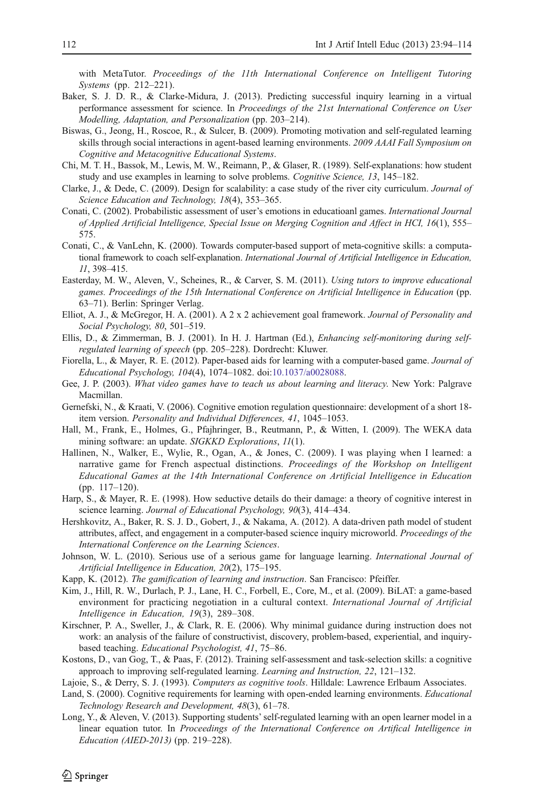<span id="page-18-0"></span>with MetaTutor. Proceedings of the 11th International Conference on Intelligent Tutoring Systems (pp. 212–221).

- Baker, S. J. D. R., & Clarke-Midura, J. (2013). Predicting successful inquiry learning in a virtual performance assessment for science. In Proceedings of the 21st International Conference on User Modelling, Adaptation, and Personalization (pp. 203–214).
- Biswas, G., Jeong, H., Roscoe, R., & Sulcer, B. (2009). Promoting motivation and self-regulated learning skills through social interactions in agent-based learning environments. 2009 AAAI Fall Symposium on Cognitive and Metacognitive Educational Systems.
- Chi, M. T. H., Bassok, M., Lewis, M. W., Reimann, P., & Glaser, R. (1989). Self-explanations: how student study and use examples in learning to solve problems. Cognitive Science, 13, 145–182.
- Clarke, J., & Dede, C. (2009). Design for scalability: a case study of the river city curriculum. Journal of Science Education and Technology, 18(4), 353–365.
- Conati, C. (2002). Probabilistic assessment of user's emotions in educatioanl games. International Journal of Applied Artificial Intelligence, Special Issue on Merging Cognition and Affect in HCI, 16(1), 555– 575.
- Conati, C., & VanLehn, K. (2000). Towards computer-based support of meta-cognitive skills: a computational framework to coach self-explanation. International Journal of Artificial Intelligence in Education, 11, 398–415.
- Easterday, M. W., Aleven, V., Scheines, R., & Carver, S. M. (2011). Using tutors to improve educational games. Proceedings of the 15th International Conference on Artificial Intelligence in Education (pp. 63–71). Berlin: Springer Verlag.
- Elliot, A. J., & McGregor, H. A. (2001). A 2 x 2 achievement goal framework. Journal of Personality and Social Psychology, 80, 501–519.
- Ellis, D., & Zimmerman, B. J. (2001). In H. J. Hartman (Ed.), Enhancing self-monitoring during selfregulated learning of speech (pp. 205–228). Dordrecht: Kluwer.
- Fiorella, L., & Mayer, R. E. (2012). Paper-based aids for learning with a computer-based game. Journal of Educational Psychology, 104(4), 1074–1082. doi[:10.1037/a0028088](http://dx.doi.org/10.1037/a0028088).
- Gee, J. P. (2003). What video games have to teach us about learning and literacy. New York: Palgrave Macmillan.
- Gernefski, N., & Kraati, V. (2006). Cognitive emotion regulation questionnaire: development of a short 18 item version. Personality and Individual Differences, 41, 1045–1053.
- Hall, M., Frank, E., Holmes, G., Pfajhringer, B., Reutmann, P., & Witten, I. (2009). The WEKA data mining software: an update. SIGKKD Explorations, 11(1).
- Hallinen, N., Walker, E., Wylie, R., Ogan, A., & Jones, C. (2009). I was playing when I learned: a narrative game for French aspectual distinctions. Proceedings of the Workshop on Intelligent Educational Games at the 14th International Conference on Artificial Intelligence in Education (pp. 117–120).
- Harp, S., & Mayer, R. E. (1998). How seductive details do their damage: a theory of cognitive interest in science learning. Journal of Educational Psychology, 90(3), 414–434.
- Hershkovitz, A., Baker, R. S. J. D., Gobert, J., & Nakama, A. (2012). A data-driven path model of student attributes, affect, and engagement in a computer-based science inquiry microworld. Proceedings of the International Conference on the Learning Sciences.
- Johnson, W. L. (2010). Serious use of a serious game for language learning. International Journal of Artificial Intelligence in Education, 20(2), 175–195.
- Kapp, K. (2012). The gamification of learning and instruction. San Francisco: Pfeiffer.
- Kim, J., Hill, R. W., Durlach, P. J., Lane, H. C., Forbell, E., Core, M., et al. (2009). BiLAT: a game-based environment for practicing negotiation in a cultural context. International Journal of Artificial Intelligence in Education, 19(3), 289–308.
- Kirschner, P. A., Sweller, J., & Clark, R. E. (2006). Why minimal guidance during instruction does not work: an analysis of the failure of constructivist, discovery, problem-based, experiential, and inquirybased teaching. Educational Psychologist, 41, 75–86.
- Kostons, D., van Gog, T., & Paas, F. (2012). Training self-assessment and task-selection skills: a cognitive approach to improving self-regulated learning. Learning and Instruction, 22, 121–132.
- Lajoie, S., & Derry, S. J. (1993). Computers as cognitive tools. Hilldale: Lawrence Erlbaum Associates.
- Land, S. (2000). Cognitive requirements for learning with open-ended learning environments. Educational Technology Research and Development, 48(3), 61–78.
- Long, Y., & Aleven, V. (2013). Supporting students' self-regulated learning with an open learner model in a linear equation tutor. In Proceedings of the International Conference on Artifical Intelligence in Education (AIED-2013) (pp. 219–228).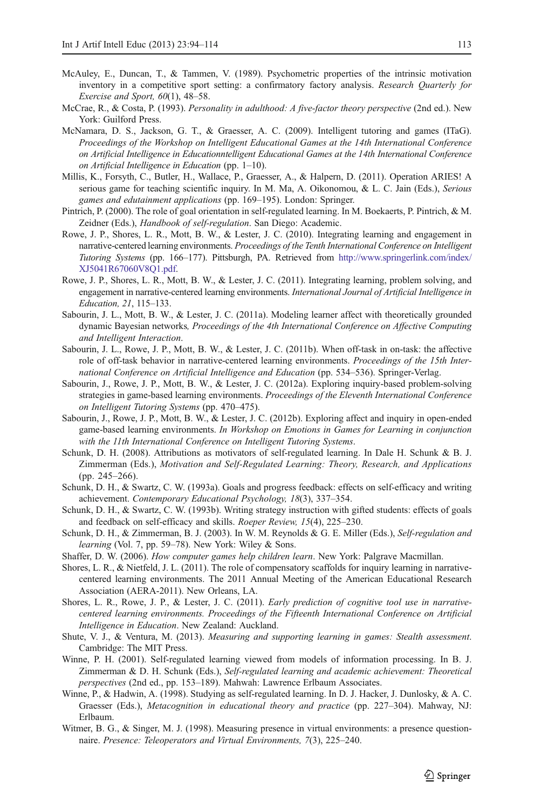- <span id="page-19-0"></span>McAuley, E., Duncan, T., & Tammen, V. (1989). Psychometric properties of the intrinsic motivation inventory in a competitive sport setting: a confirmatory factory analysis. Research Quarterly for Exercise and Sport,  $60(1)$ , 48-58.
- McCrae, R., & Costa, P. (1993). Personality in adulthood: A five-factor theory perspective (2nd ed.). New York: Guilford Press.
- McNamara, D. S., Jackson, G. T., & Graesser, A. C. (2009). Intelligent tutoring and games (ITaG). Proceedings of the Workshop on Intelligent Educational Games at the 14th International Conference on Artificial Intelligence in Educationntelligent Educational Games at the 14th International Conference on Artificial Intelligence in Education (pp. 1–10).
- Millis, K., Forsyth, C., Butler, H., Wallace, P., Graesser, A., & Halpern, D. (2011). Operation ARIES! A serious game for teaching scientific inquiry. In M. Ma, A. Oikonomou, & L. C. Jain (Eds.), Serious games and edutainment applications (pp. 169–195). London: Springer.
- Pintrich, P. (2000). The role of goal orientation in self-regulated learning. In M. Boekaerts, P. Pintrich, & M. Zeidner (Eds.), Handbook of self-regulation. San Diego: Academic.
- Rowe, J. P., Shores, L. R., Mott, B. W., & Lester, J. C. (2010). Integrating learning and engagement in narrative-centered learning environments. Proceedings of the Tenth International Conference on Intelligent Tutoring Systems (pp. 166–177). Pittsburgh, PA. Retrieved from [http://www.springerlink.com/index/](http://www.springerlink.com/index/XJ5041R67060V8Q1.pdf) [XJ5041R67060V8Q1.pdf.](http://www.springerlink.com/index/XJ5041R67060V8Q1.pdf)
- Rowe, J. P., Shores, L. R., Mott, B. W., & Lester, J. C. (2011). Integrating learning, problem solving, and engagement in narrative-centered learning environments. International Journal of Artificial Intelligence in Education, 21, 115–133.
- Sabourin, J. L., Mott, B. W., & Lester, J. C. (2011a). Modeling learner affect with theoretically grounded dynamic Bayesian networks, Proceedings of the 4th International Conference on Affective Computing and Intelligent Interaction.
- Sabourin, J. L., Rowe, J. P., Mott, B. W., & Lester, J. C. (2011b). When off-task in on-task: the affective role of off-task behavior in narrative-centered learning environments. Proceedings of the 15th International Conference on Artificial Intelligence and Education (pp. 534–536). Springer-Verlag.
- Sabourin, J., Rowe, J. P., Mott, B. W., & Lester, J. C. (2012a). Exploring inquiry-based problem-solving strategies in game-based learning environments. Proceedings of the Eleventh International Conference on Intelligent Tutoring Systems (pp. 470–475).
- Sabourin, J., Rowe, J. P., Mott, B. W., & Lester, J. C. (2012b). Exploring affect and inquiry in open-ended game-based learning environments. In Workshop on Emotions in Games for Learning in conjunction with the 11th International Conference on Intelligent Tutoring Systems.
- Schunk, D. H. (2008). Attributions as motivators of self-regulated learning. In Dale H. Schunk & B. J. Zimmerman (Eds.), Motivation and Self-Regulated Learning: Theory, Research, and Applications (pp. 245–266).
- Schunk, D. H., & Swartz, C. W. (1993a). Goals and progress feedback: effects on self-efficacy and writing achievement. Contemporary Educational Psychology, 18(3), 337–354.
- Schunk, D. H., & Swartz, C. W. (1993b). Writing strategy instruction with gifted students: effects of goals and feedback on self-efficacy and skills. Roeper Review, 15(4), 225–230.
- Schunk, D. H., & Zimmerman, B. J. (2003). In W. M. Reynolds & G. E. Miller (Eds.), Self-regulation and learning (Vol. 7, pp. 59–78). New York: Wiley & Sons.
- Shaffer, D. W. (2006). How computer games help children learn. New York: Palgrave Macmillan.
- Shores, L. R., & Nietfeld, J. L. (2011). The role of compensatory scaffolds for inquiry learning in narrativecentered learning environments. The 2011 Annual Meeting of the American Educational Research Association (AERA-2011). New Orleans, LA.
- Shores, L. R., Rowe, J. P., & Lester, J. C. (2011). Early prediction of cognitive tool use in narrativecentered learning environments. Proceedings of the Fifteenth International Conference on Artificial Intelligence in Education. New Zealand: Auckland.
- Shute, V. J., & Ventura, M. (2013). Measuring and supporting learning in games: Stealth assessment. Cambridge: The MIT Press.
- Winne, P. H. (2001). Self-regulated learning viewed from models of information processing. In B. J. Zimmerman & D. H. Schunk (Eds.), Self-regulated learning and academic achievement: Theoretical perspectives (2nd ed., pp. 153–189). Mahwah: Lawrence Erlbaum Associates.
- Winne, P., & Hadwin, A. (1998). Studying as self-regulated learning. In D. J. Hacker, J. Dunlosky, & A. C. Graesser (Eds.), Metacognition in educational theory and practice (pp. 227–304). Mahway, NJ: Erlbaum.
- Witmer, B. G., & Singer, M. J. (1998). Measuring presence in virtual environments: a presence questionnaire. Presence: Teleoperators and Virtual Environments, 7(3), 225–240.